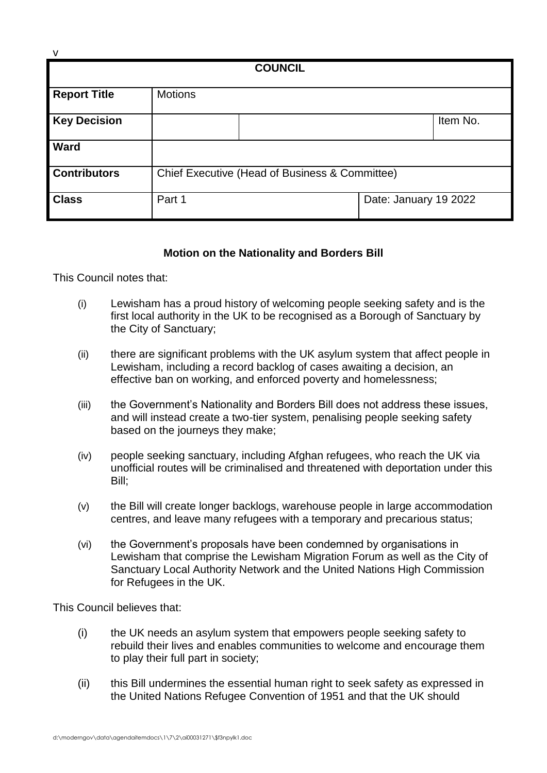| <b>COUNCIL</b>      |                                                |                       |  |
|---------------------|------------------------------------------------|-----------------------|--|
| <b>Report Title</b> | <b>Motions</b>                                 |                       |  |
| <b>Key Decision</b> |                                                | Item No.              |  |
| Ward                |                                                |                       |  |
| <b>Contributors</b> | Chief Executive (Head of Business & Committee) |                       |  |
| <b>Class</b>        | Part 1                                         | Date: January 19 2022 |  |

## **Motion on the Nationality and Borders Bill**

This Council notes that:

v

- (i) Lewisham has a proud history of welcoming people seeking safety and is the first local authority in the UK to be recognised as a Borough of Sanctuary by the City of Sanctuary;
- (ii) there are significant problems with the UK asylum system that affect people in Lewisham, including a record backlog of cases awaiting a decision, an effective ban on working, and enforced poverty and homelessness;
- (iii) the Government's Nationality and Borders Bill does not address these issues, and will instead create a two-tier system, penalising people seeking safety based on the journeys they make;
- (iv) people seeking sanctuary, including Afghan refugees, who reach the UK via unofficial routes will be criminalised and threatened with deportation under this Bill;
- (v) the Bill will create longer backlogs, warehouse people in large accommodation centres, and leave many refugees with a temporary and precarious status;
- (vi) the Government's proposals have been condemned by organisations in Lewisham that comprise the Lewisham Migration Forum as well as the City of Sanctuary Local Authority Network and the United Nations High Commission for Refugees in the UK.

This Council believes that:

- (i) the UK needs an asylum system that empowers people seeking safety to rebuild their lives and enables communities to welcome and encourage them to play their full part in society;
- (ii) this Bill undermines the essential human right to seek safety as expressed in the United Nations Refugee Convention of 1951 and that the UK should